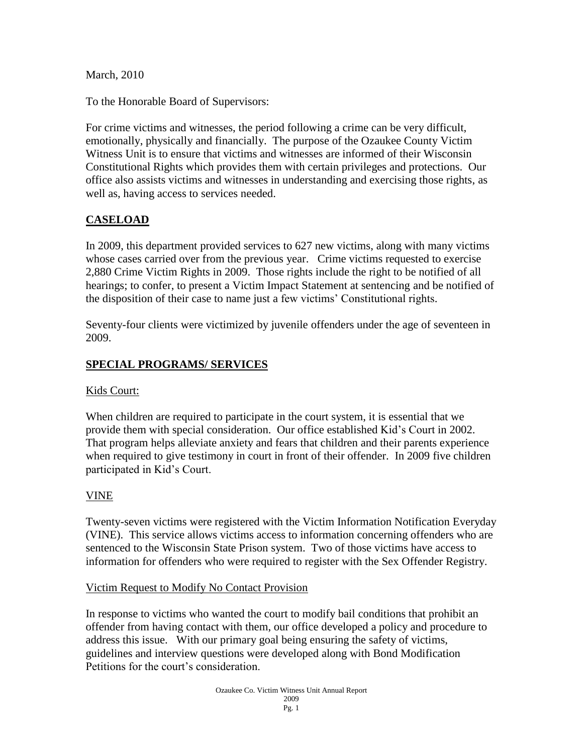March, 2010

To the Honorable Board of Supervisors:

For crime victims and witnesses, the period following a crime can be very difficult, emotionally, physically and financially. The purpose of the Ozaukee County Victim Witness Unit is to ensure that victims and witnesses are informed of their Wisconsin Constitutional Rights which provides them with certain privileges and protections. Our office also assists victims and witnesses in understanding and exercising those rights, as well as, having access to services needed.

# **CASELOAD**

In 2009, this department provided services to 627 new victims, along with many victims whose cases carried over from the previous year. Crime victims requested to exercise 2,880 Crime Victim Rights in 2009. Those rights include the right to be notified of all hearings; to confer, to present a Victim Impact Statement at sentencing and be notified of the disposition of their case to name just a few victims' Constitutional rights.

Seventy-four clients were victimized by juvenile offenders under the age of seventeen in 2009.

## **SPECIAL PROGRAMS/ SERVICES**

#### Kids Court:

When children are required to participate in the court system, it is essential that we provide them with special consideration. Our office established Kid's Court in 2002. That program helps alleviate anxiety and fears that children and their parents experience when required to give testimony in court in front of their offender. In 2009 five children participated in Kid's Court.

## VINE

Twenty-seven victims were registered with the Victim Information Notification Everyday (VINE). This service allows victims access to information concerning offenders who are sentenced to the Wisconsin State Prison system. Two of those victims have access to information for offenders who were required to register with the Sex Offender Registry.

#### Victim Request to Modify No Contact Provision

In response to victims who wanted the court to modify bail conditions that prohibit an offender from having contact with them, our office developed a policy and procedure to address this issue. With our primary goal being ensuring the safety of victims, guidelines and interview questions were developed along with Bond Modification Petitions for the court's consideration.